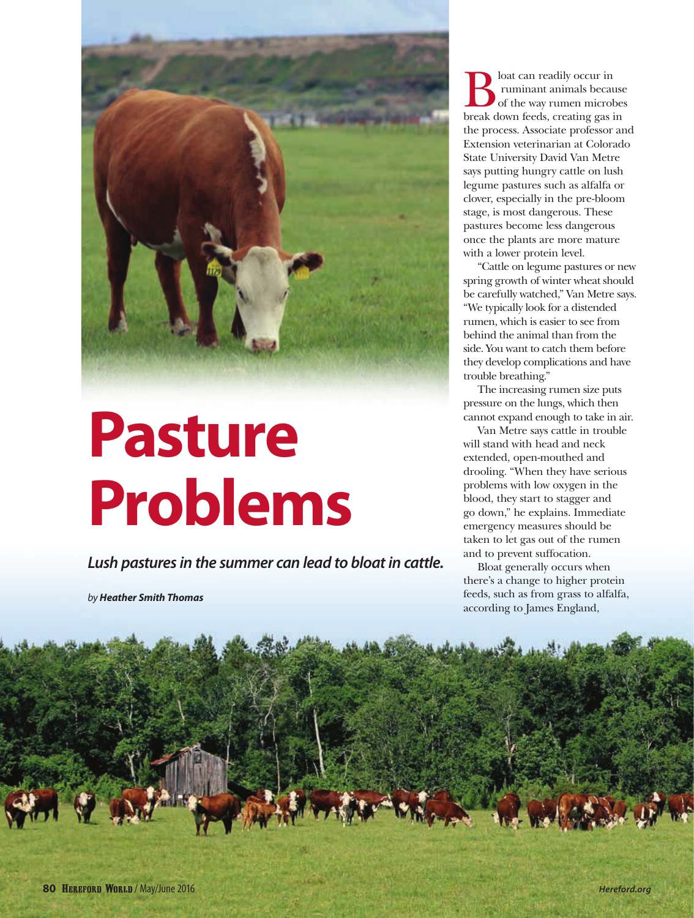

## **Pasture Problems**

*Lush pastures in the summer can lead to bloat in cattle.*

*by Heather Smith Thomas*

 $\sum_{\text{of the way rumman}}$  loat can readily occur in<br>of the way rumen microb<br>break down feeds creating gas i ruminant animals because of the way rumen microbes break down feeds, creating gas in the process. Associate professor and Extension veterinarian at Colorado State University David Van Metre says putting hungry cattle on lush legume pastures such as alfalfa or clover, especially in the pre-bloom stage, is most dangerous. These pastures become less dangerous once the plants are more mature with a lower protein level.

"Cattle on legume pastures or new spring growth of winter wheat should be carefully watched," Van Metre says. "We typically look for a distended rumen, which is easier to see from behind the animal than from the side. You want to catch them before they develop complications and have trouble breathing."

The increasing rumen size puts pressure on the lungs, which then cannot expand enough to take in air.

Van Metre says cattle in trouble will stand with head and neck extended, open-mouthed and drooling. "When they have serious problems with low oxygen in the blood, they start to stagger and go down," he explains. Immediate emergency measures should be taken to let gas out of the rumen and to prevent suffocation.

Bloat generally occurs when there's a change to higher protein feeds, such as from grass to alfalfa, according to James England,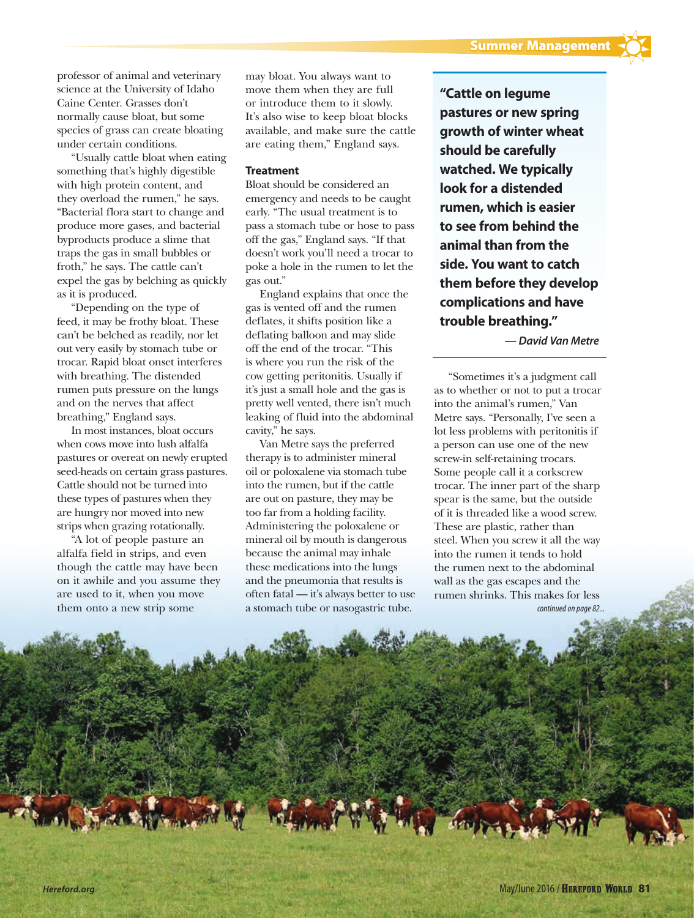professor of animal and veterinary science at the University of Idaho Caine Center. Grasses don't normally cause bloat, but some species of grass can create bloating under certain conditions.

"Usually cattle bloat when eating something that's highly digestible with high protein content, and they overload the rumen," he says. "Bacterial flora start to change and produce more gases, and bacterial byproducts produce a slime that traps the gas in small bubbles or froth," he says. The cattle can't expel the gas by belching as quickly as it is produced.

"Depending on the type of feed, it may be frothy bloat. These can't be belched as readily, nor let out very easily by stomach tube or trocar. Rapid bloat onset interferes with breathing. The distended rumen puts pressure on the lungs and on the nerves that affect breathing," England says.

In most instances, bloat occurs when cows move into lush alfalfa pastures or overeat on newly erupted seed-heads on certain grass pastures. Cattle should not be turned into these types of pastures when they are hungry nor moved into new strips when grazing rotationally.

"A lot of people pasture an alfalfa field in strips, and even though the cattle may have been on it awhile and you assume they are used to it, when you move them onto a new strip some

may bloat. You always want to move them when they are full or introduce them to it slowly. It's also wise to keep bloat blocks available, and make sure the cattle are eating them," England says.

## **Treatment**

Bloat should be considered an emergency and needs to be caught early. "The usual treatment is to pass a stomach tube or hose to pass off the gas," England says. "If that doesn't work you'll need a trocar to poke a hole in the rumen to let the gas out."

England explains that once the gas is vented off and the rumen deflates, it shifts position like a deflating balloon and may slide off the end of the trocar. "This is where you run the risk of the cow getting peritonitis. Usually if it's just a small hole and the gas is pretty well vented, there isn't much leaking of fluid into the abdominal cavity," he says.

Van Metre says the preferred therapy is to administer mineral oil or poloxalene via stomach tube into the rumen, but if the cattle are out on pasture, they may be too far from a holding facility. Administering the poloxalene or mineral oil by mouth is dangerous because the animal may inhale these medications into the lungs and the pneumonia that results is often fatal — it's always better to use a stomach tube or nasogastric tube.

**"Cattle on legume pastures or new spring growth of winter wheat should be carefully watched. We typically look for a distended rumen, which is easier to see from behind the animal than from the side. You want to catch them before they develop complications and have trouble breathing."**

*— David Van Metre*

"Sometimes it's a judgment call as to whether or not to put a trocar into the animal's rumen," Van Metre says. "Personally, I've seen a lot less problems with peritonitis if a person can use one of the new screw-in self-retaining trocars. Some people call it a corkscrew trocar. The inner part of the sharp spear is the same, but the outside of it is threaded like a wood screw. These are plastic, rather than steel. When you screw it all the way into the rumen it tends to hold the rumen next to the abdominal wall as the gas escapes and the rumen shrinks. This makes for less *continued on page 82...*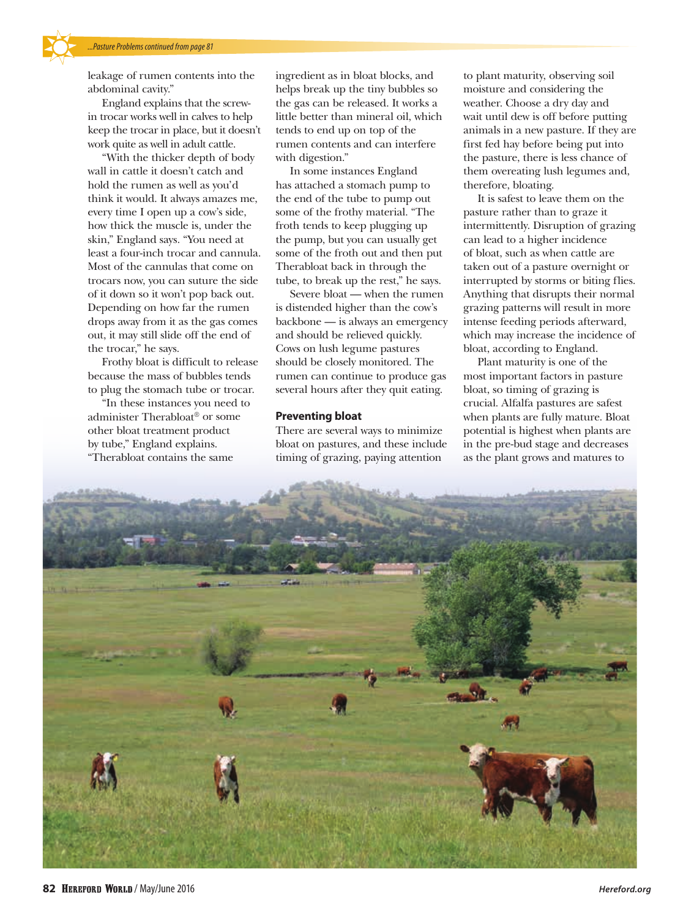leakage of rumen contents into the abdominal cavity."

England explains that the screwin trocar works well in calves to help keep the trocar in place, but it doesn't work quite as well in adult cattle.

"With the thicker depth of body wall in cattle it doesn't catch and hold the rumen as well as you'd think it would. It always amazes me, every time I open up a cow's side, how thick the muscle is, under the skin," England says. "You need at least a four-inch trocar and cannula. Most of the cannulas that come on trocars now, you can suture the side of it down so it won't pop back out. Depending on how far the rumen drops away from it as the gas comes out, it may still slide off the end of the trocar," he says.

Frothy bloat is difficult to release because the mass of bubbles tends to plug the stomach tube or trocar.

"In these instances you need to administer Therabloat® or some other bloat treatment product by tube," England explains. "Therabloat contains the same

ingredient as in bloat blocks, and helps break up the tiny bubbles so the gas can be released. It works a little better than mineral oil, which tends to end up on top of the rumen contents and can interfere with digestion."

In some instances England has attached a stomach pump to the end of the tube to pump out some of the frothy material. "The froth tends to keep plugging up the pump, but you can usually get some of the froth out and then put Therabloat back in through the tube, to break up the rest," he says.

Severe bloat — when the rumen is distended higher than the cow's backbone — is always an emergency and should be relieved quickly. Cows on lush legume pastures should be closely monitored. The rumen can continue to produce gas several hours after they quit eating.

## **Preventing bloat**

There are several ways to minimize bloat on pastures, and these include timing of grazing, paying attention

to plant maturity, observing soil moisture and considering the weather. Choose a dry day and wait until dew is off before putting animals in a new pasture. If they are first fed hay before being put into the pasture, there is less chance of them overeating lush legumes and, therefore, bloating.

It is safest to leave them on the pasture rather than to graze it intermittently. Disruption of grazing can lead to a higher incidence of bloat, such as when cattle are taken out of a pasture overnight or interrupted by storms or biting flies. Anything that disrupts their normal grazing patterns will result in more intense feeding periods afterward, which may increase the incidence of bloat, according to England.

Plant maturity is one of the most important factors in pasture bloat, so timing of grazing is crucial. Alfalfa pastures are safest when plants are fully mature. Bloat potential is highest when plants are in the pre-bud stage and decreases as the plant grows and matures to